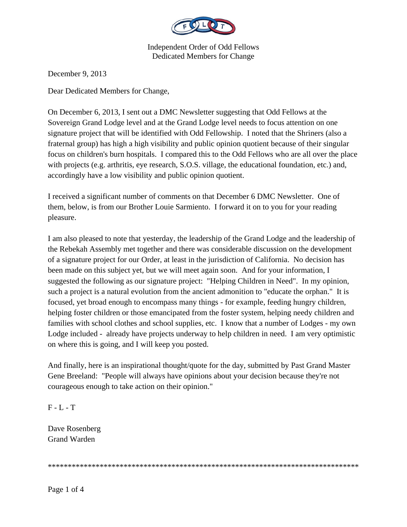

December 9, 2013

Dear Dedicated Members for Change,

On December 6, 2013, I sent out a DMC Newsletter suggesting that Odd Fellows at the Sovereign Grand Lodge level and at the Grand Lodge level needs to focus attention on one signature project that will be identified with Odd Fellowship. I noted that the Shriners (also a fraternal group) has high a high visibility and public opinion quotient because of their singular focus on children's burn hospitals. I compared this to the Odd Fellows who are all over the place with projects (e.g. arthritis, eye research, S.O.S. village, the educational foundation, etc.) and, accordingly have a low visibility and public opinion quotient.

I received a significant number of comments on that December 6 DMC Newsletter. One of them, below, is from our Brother Louie Sarmiento. I forward it on to you for your reading pleasure.

I am also pleased to note that yesterday, the leadership of the Grand Lodge and the leadership of the Rebekah Assembly met together and there was considerable discussion on the development of a signature project for our Order, at least in the jurisdiction of California. No decision has been made on this subject yet, but we will meet again soon. And for your information, I suggested the following as our signature project: "Helping Children in Need". In my opinion, such a project is a natural evolution from the ancient admonition to "educate the orphan." It is focused, yet broad enough to encompass many things - for example, feeding hungry children, helping foster children or those emancipated from the foster system, helping needy children and families with school clothes and school supplies, etc. I know that a number of Lodges - my own Lodge included - already have projects underway to help children in need. I am very optimistic on where this is going, and I will keep you posted.

And finally, here is an inspirational thought/quote for the day, submitted by Past Grand Master Gene Breeland: "People will always have opinions about your decision because they're not courageous enough to take action on their opinion."

 $F - L - T$ 

Dave Rosenberg Grand Warden

\*\*\*\*\*\*\*\*\*\*\*\*\*\*\*\*\*\*\*\*\*\*\*\*\*\*\*\*\*\*\*\*\*\*\*\*\*\*\*\*\*\*\*\*\*\*\*\*\*\*\*\*\*\*\*\*\*\*\*\*\*\*\*\*\*\*\*\*\*\*\*\*\*\*\*\*\*\*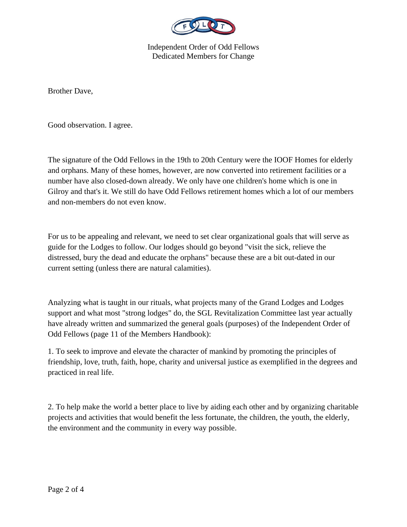

Brother Dave,

Good observation. I agree.

The signature of the Odd Fellows in the 19th to 20th Century were the IOOF Homes for elderly and orphans. Many of these homes, however, are now converted into retirement facilities or a number have also closed-down already. We only have one children's home which is one in Gilroy and that's it. We still do have Odd Fellows retirement homes which a lot of our members and non-members do not even know.

For us to be appealing and relevant, we need to set clear organizational goals that will serve as guide for the Lodges to follow. Our lodges should go beyond "visit the sick, relieve the distressed, bury the dead and educate the orphans" because these are a bit out-dated in our current setting (unless there are natural calamities).

Analyzing what is taught in our rituals, what projects many of the Grand Lodges and Lodges support and what most "strong lodges" do, the SGL Revitalization Committee last year actually have already written and summarized the general goals (purposes) of the Independent Order of Odd Fellows (page 11 of the Members Handbook):

1. To seek to improve and elevate the character of mankind by promoting the principles of friendship, love, truth, faith, hope, charity and universal justice as exemplified in the degrees and practiced in real life.

2. To help make the world a better place to live by aiding each other and by organizing charitable projects and activities that would benefit the less fortunate, the children, the youth, the elderly, the environment and the community in every way possible.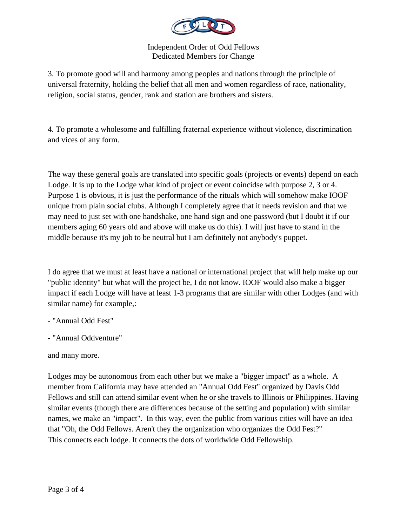

3. To promote good will and harmony among peoples and nations through the principle of universal fraternity, holding the belief that all men and women regardless of race, nationality, religion, social status, gender, rank and station are brothers and sisters.

4. To promote a wholesome and fulfilling fraternal experience without violence, discrimination and vices of any form.

The way these general goals are translated into specific goals (projects or events) depend on each Lodge. It is up to the Lodge what kind of project or event coincidse with purpose 2, 3 or 4. Purpose 1 is obvious, it is just the performance of the rituals which will somehow make IOOF unique from plain social clubs. Although I completely agree that it needs revision and that we may need to just set with one handshake, one hand sign and one password (but I doubt it if our members aging 60 years old and above will make us do this). I will just have to stand in the middle because it's my job to be neutral but I am definitely not anybody's puppet.

I do agree that we must at least have a national or international project that will help make up our "public identity" but what will the project be, I do not know. IOOF would also make a bigger impact if each Lodge will have at least 1-3 programs that are similar with other Lodges (and with similar name) for example,:

- "Annual Odd Fest"

- "Annual Oddventure"

and many more.

Lodges may be autonomous from each other but we make a "bigger impact" as a whole. A member from California may have attended an "Annual Odd Fest" organized by Davis Odd Fellows and still can attend similar event when he or she travels to Illinois or Philippines. Having similar events (though there are differences because of the setting and population) with similar names, we make an "impact". In this way, even the public from various cities will have an idea that "Oh, the Odd Fellows. Aren't they the organization who organizes the Odd Fest?" This connects each lodge. It connects the dots of worldwide Odd Fellowship.